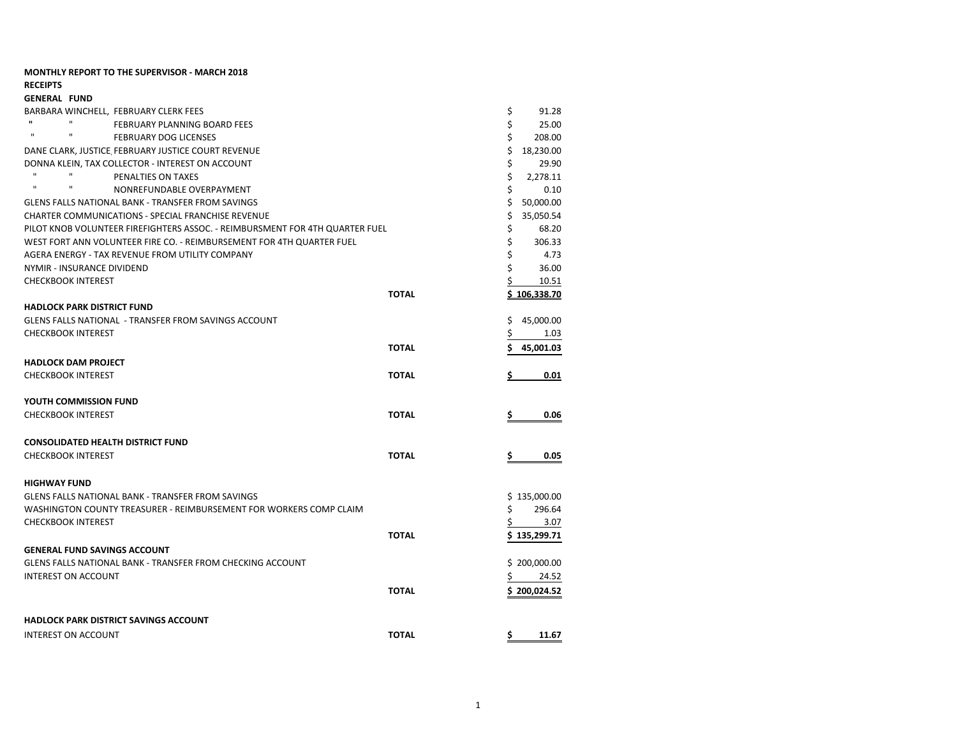## **MONTHLY REPORT TO THE SUPERVISOR - MARCH 2018 RECEIPTS GENERAL FUND** BARBARA WINCHELL, FEBRUARY CLERK FEES **1.28** 8 and 28 and 28 and 28 and 28 and 28 and 28 and 28 and 28 and 28 and 28 and 28 and 28 and 29 and 29 and 20 and 20 and 20 and 20 and 20 and 20 and 20 and 20 and 20 and 20 and 20 **<sup>"</sup>** "
FEBRUARY PLANNING BOARD FEES

<sup>"</sup>
<sup>"</sup>

FEBRUARY PLANNING BOARD FEES

<sup>"</sup>
<sup>"</sup>
<sup>2020</sub></sup> " " FEBRUARY DOG LICENSES \$ 208.00 DANE CLARK, JUSTICE, FEBRUARY JUSTICE COURT REVENUE **18,230,000** \$ 18,230,00 DONNA KLEIN, TAX COLLECTOR - INTEREST ON ACCOUNT \$ 29.90  $^{\prime\prime}$   $^{\prime\prime}$   $^{\prime\prime}$   $^{\prime\prime}$   $^{\prime\prime}$   $^{\prime\prime}$   $^{\prime\prime}$   $^{\prime\prime}$   $^{\prime\prime}$   $^{\prime\prime}$   $^{\prime\prime}$   $^{\prime\prime}$   $^{\prime\prime}$   $^{\prime\prime}$   $^{\prime\prime}$   $^{\prime\prime}$   $^{\prime\prime}$   $^{\prime\prime}$   $^{\prime\prime}$   $^{\prime\prime}$   $^{\prime\prime}$   $^{\prime\prime}$   $^{\prime\prime}$   $^{\prime\prime}$   $^{\prime\$  " " NONREFUNDABLE OVERPAYMENT \$ 0.10 GLENS FALLS NATIONAL BANK - TRANSFER FROM SAVINGS **\$ 50,000 \$ 50,000.00** CHARTER COMMUNICATIONS - SPECIAL FRANCHISE REVENUE \$ 35,050.54 PILOT KNOB VOLUNTEER FIREFIGHTERS ASSOC. - REIMBURSMENT FOR 4TH QUARTER FUEL \$ 68.20 WEST FORT ANN VOLUNTEER FIRE CO. - REIMBURSEMENT FOR 4TH QUARTER FUEL  $\zeta = 306.33$ AGERA ENERGY - TAX REVENUE FROM UTILITY COMPANY AND THE SERVE OF THE SERVE OF THE SERVE OF THE SERVE OF THE SE NYMIR - INSURANCE DIVIDEND \$ 36.00 CHECKBOOK INTEREST **10.51 TOTAL \$ 106,338.70 HADLOCK PARK DISTRICT FUND** GLENS FALLS NATIONAL - TRANSFER FROM SAVINGS ACCOUNT **And the CONTROL CONTROL** STATES A 45,000.00 CHECKBOOK INTEREST 5 1.03 **TOTAL \$ 45,001.03 HADLOCK DAM PROJECT** CHECKBOOK INTEREST **TOTAL \$ 0.01 YOUTH COMMISSION FUND** CHECKBOOK INTEREST **TOTAL \$ 0.06 CONSOLIDATED HEALTH DISTRICT FUND** CHECKBOOK INTEREST **TOTAL \$ 0.05 HIGHWAY FUND** GLENS FALLS NATIONAL BANK - TRANSFER FROM SAVINGS **\$ 135,000.00** \$ 135,000.00 WASHINGTON COUNTY TREASURER - REIMBURSEMENT FOR WORKERS COMP CLAIM  $\zeta$  296.64 CHECKBOOK INTEREST SAND SERVER SERVER AND THE SERVER SERVER SERVER AND STRUCKBOOK INTEREST SAND SERVER SERVER SAND **TOTAL \$ 135,299.71 GENERAL FUND SAVINGS ACCOUNT** GLENS FALLS NATIONAL BANK - TRANSFER FROM CHECKING ACCOUNT  $\frac{1}{2}$  200,000.00 INTEREST ON ACCOUNT **124.52 TOTAL \$ 200,024.52 HADLOCK PARK DISTRICT SAVINGS ACCOUNT** INTEREST ON ACCOUNT **TOTAL \$ 11.67**

1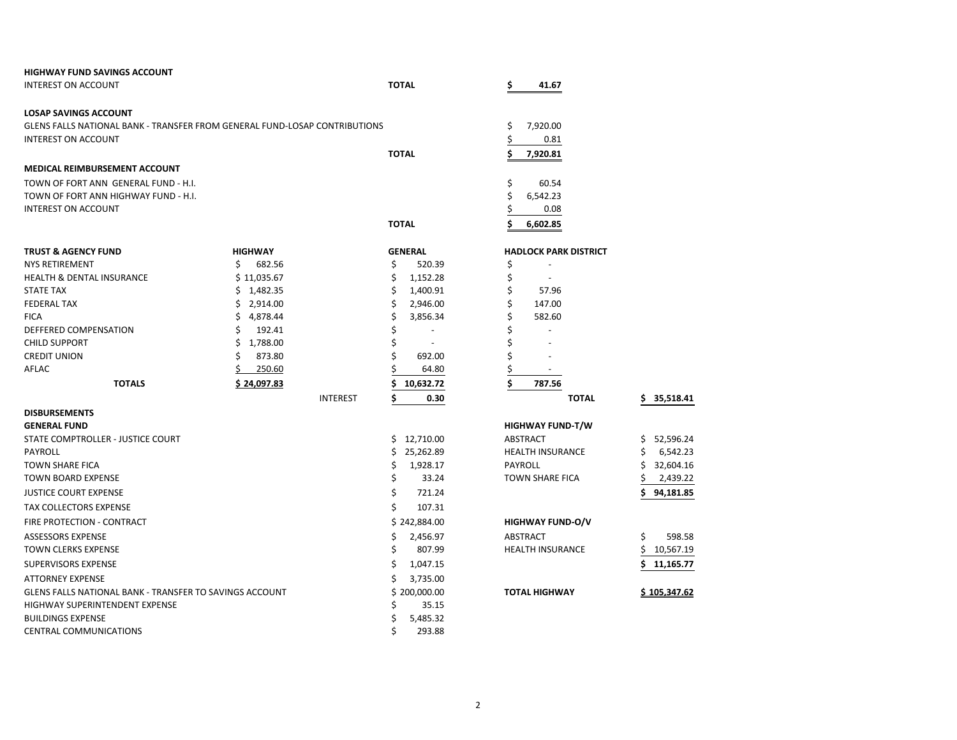| <b>HIGHWAY FUND SAVINGS ACCOUNT</b>                                        |                         |                                  |                              |                     |
|----------------------------------------------------------------------------|-------------------------|----------------------------------|------------------------------|---------------------|
| INTEREST ON ACCOUNT                                                        |                         | <b>TOTAL</b>                     | \$<br>41.67                  |                     |
| <b>LOSAP SAVINGS ACCOUNT</b>                                               |                         |                                  |                              |                     |
| GLENS FALLS NATIONAL BANK - TRANSFER FROM GENERAL FUND-LOSAP CONTRIBUTIONS |                         |                                  | \$<br>7,920.00               |                     |
| <b>INTEREST ON ACCOUNT</b>                                                 |                         |                                  | \$<br>0.81                   |                     |
|                                                                            |                         | <b>TOTAL</b>                     | \$<br>7,920.81               |                     |
| MEDICAL REIMBURSEMENT ACCOUNT                                              |                         |                                  |                              |                     |
| TOWN OF FORT ANN GENERAL FUND - H.I.                                       |                         |                                  | \$<br>60.54                  |                     |
| TOWN OF FORT ANN HIGHWAY FUND - H.I.                                       |                         |                                  | \$<br>6,542.23               |                     |
| <b>INTEREST ON ACCOUNT</b>                                                 |                         |                                  | \$<br>0.08                   |                     |
|                                                                            |                         | <b>TOTAL</b>                     | Ś.<br>6,602.85               |                     |
|                                                                            |                         |                                  |                              |                     |
| <b>TRUST &amp; AGENCY FUND</b>                                             | <b>HIGHWAY</b>          | <b>GENERAL</b>                   | <b>HADLOCK PARK DISTRICT</b> |                     |
| <b>NYS RETIREMENT</b>                                                      | \$<br>682.56            | \$<br>520.39                     | \$                           |                     |
| <b>HEALTH &amp; DENTAL INSURANCE</b>                                       | \$11,035.67             | \$<br>1,152.28                   | \$<br>$\sim$                 |                     |
| <b>STATE TAX</b>                                                           | \$1,482.35              | \$<br>1,400.91                   | \$<br>57.96                  |                     |
| <b>FEDERAL TAX</b><br><b>FICA</b>                                          | \$2,914.00<br>Ś.        | \$<br>2,946.00<br>\$             | \$<br>147.00<br>Ś<br>582.60  |                     |
| DEFFERED COMPENSATION                                                      | 4,878.44<br>192.41<br>Ś | 3,856.34<br>\$<br>$\blacksquare$ | Ś                            |                     |
| <b>CHILD SUPPORT</b>                                                       | 1,788.00<br>S           | \$                               | \$                           |                     |
| <b>CREDIT UNION</b>                                                        | 873.80                  | \$<br>692.00                     | \$                           |                     |
| AFLAC                                                                      | Ś.<br>250.60            | 64.80                            | \$                           |                     |
| <b>TOTALS</b>                                                              | \$24,097.83             | 10,632.72<br>\$                  | \$<br>787.56                 |                     |
|                                                                            | <b>INTEREST</b>         | \$<br>0.30                       | <b>TOTAL</b>                 | 35,518.41<br>\$.    |
| <b>DISBURSEMENTS</b>                                                       |                         |                                  |                              |                     |
| <b>GENERAL FUND</b>                                                        |                         |                                  | <b>HIGHWAY FUND-T/W</b>      |                     |
| STATE COMPTROLLER - JUSTICE COURT                                          |                         | \$12,710.00                      | <b>ABSTRACT</b>              | 52,596.24<br>Ś.     |
| <b>PAYROLL</b>                                                             |                         | 25,262.89<br>\$.                 | <b>HEALTH INSURANCE</b>      | 6,542.23<br>S       |
| <b>TOWN SHARE FICA</b>                                                     |                         | \$<br>1,928.17                   | PAYROLL                      | 32,604.16           |
| <b>TOWN BOARD EXPENSE</b>                                                  |                         | \$<br>33.24                      | <b>TOWN SHARE FICA</b>       | 2,439.22            |
| <b>JUSTICE COURT EXPENSE</b>                                               |                         | \$<br>721.24                     |                              | 94,181.85           |
| <b>TAX COLLECTORS EXPENSE</b>                                              |                         | \$<br>107.31                     |                              |                     |
| FIRE PROTECTION - CONTRACT                                                 |                         | \$242,884.00                     | <b>HIGHWAY FUND-O/V</b>      |                     |
| ASSESSORS EXPENSE                                                          |                         | \$<br>2,456.97                   | ABSTRACT                     | \$<br>598.58        |
| <b>TOWN CLERKS EXPENSE</b>                                                 |                         | \$<br>807.99                     | <b>HEALTH INSURANCE</b>      | Ś<br>10,567.19      |
| <b>SUPERVISORS EXPENSE</b>                                                 |                         | \$<br>1,047.15                   |                              | 11,165.77           |
| <b>ATTORNEY EXPENSE</b>                                                    |                         | Ś<br>3,735.00                    |                              |                     |
| GLENS FALLS NATIONAL BANK - TRANSFER TO SAVINGS ACCOUNT                    |                         | \$200,000.00                     | <b>TOTAL HIGHWAY</b>         | <u>\$105,347.62</u> |
| HIGHWAY SUPERINTENDENT EXPENSE                                             |                         | \$<br>35.15                      |                              |                     |
| <b>BUILDINGS EXPENSE</b>                                                   |                         | \$<br>5,485.32                   |                              |                     |
| <b>CENTRAL COMMUNICATIONS</b>                                              |                         | Ś<br>293.88                      |                              |                     |

| 787.56                      |     |          |
|-----------------------------|-----|----------|
| <b>TOTAL</b>                | \$. | 35,518.4 |
|                             |     |          |
| <b>HWAY FUND-T/W</b>        |     |          |
| TRACT                       | Ś.  | 52,596.2 |
| LTH INSURANCE               | Ś   | 6.542.2  |
| ROLL                        | Ś   | 32,604.1 |
| <b><i>IN SHARE FICA</i></b> |     | 2,439.2  |
|                             | \$. | 94,181.8 |
|                             |     |          |
| <b>IWAY FUND-O/V</b>        |     |          |
| -- - --                     |     |          |

|        | Ś  |    |
|--------|----|----|
| JRANCE | \$ | 1( |
|        | Ś  | 11 |
|        |    |    |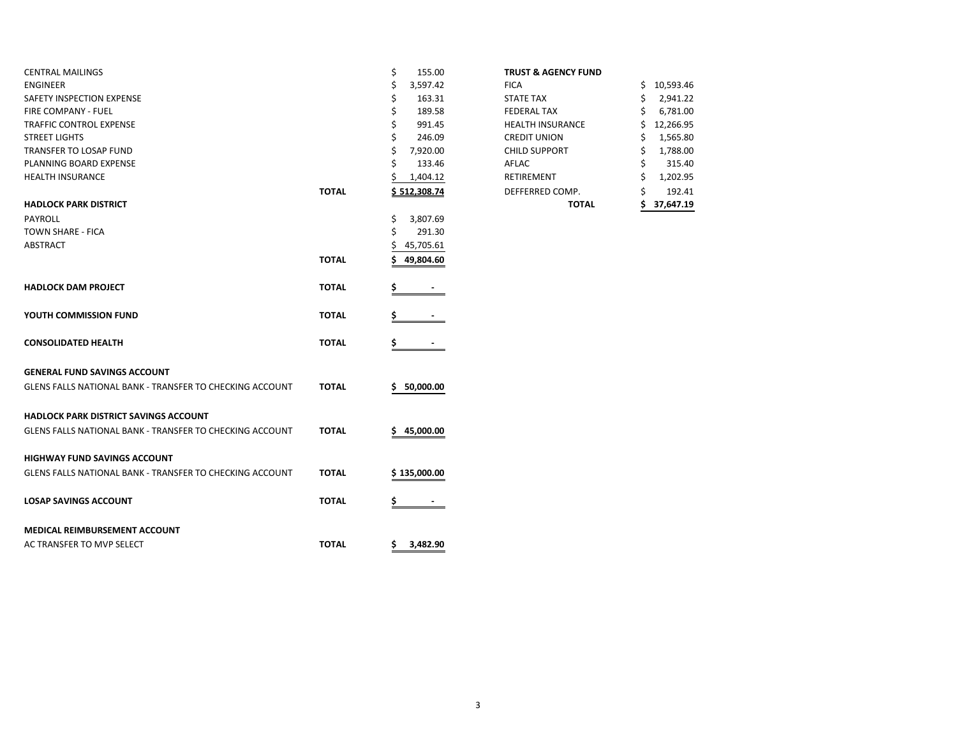|              | \$<br>155.00                                                 | <b>TRUST &amp; AGENCY FUND</b>                                                                |                 |
|--------------|--------------------------------------------------------------|-----------------------------------------------------------------------------------------------|-----------------|
|              | 3,597.42                                                     | <b>FICA</b>                                                                                   | 10,593.46<br>Ś. |
|              | 163.31                                                       | <b>STATE TAX</b>                                                                              | 2,941.22<br>\$  |
|              | 189.58                                                       | <b>FEDERAL TAX</b>                                                                            | 6,781.00        |
|              | 991.45                                                       | <b>HEALTH INSURANCE</b>                                                                       | 12,266.95       |
|              | 246.09                                                       | <b>CREDIT UNION</b>                                                                           | 1,565.80        |
|              | 7,920.00                                                     | <b>CHILD SUPPORT</b>                                                                          | 1,788.00        |
|              | 133.46                                                       | AFLAC                                                                                         | 315.40          |
|              | 1,404.12                                                     | RETIREMENT                                                                                    | 1,202.95        |
| <b>TOTAL</b> | \$512,308.74                                                 | DEFFERRED COMP.                                                                               | 192.41          |
|              |                                                              | <b>TOTAL</b>                                                                                  | 37,647.19       |
|              |                                                              |                                                                                               |                 |
|              | Ś                                                            |                                                                                               |                 |
|              |                                                              |                                                                                               |                 |
|              |                                                              |                                                                                               |                 |
|              |                                                              |                                                                                               |                 |
|              |                                                              |                                                                                               |                 |
|              |                                                              |                                                                                               |                 |
| <b>TOTAL</b> |                                                              |                                                                                               |                 |
|              |                                                              |                                                                                               |                 |
| <b>TOTAL</b> | \$                                                           |                                                                                               |                 |
|              |                                                              |                                                                                               |                 |
|              |                                                              |                                                                                               |                 |
|              |                                                              |                                                                                               |                 |
|              |                                                              |                                                                                               |                 |
|              |                                                              |                                                                                               |                 |
|              |                                                              |                                                                                               |                 |
|              |                                                              |                                                                                               |                 |
|              |                                                              |                                                                                               |                 |
|              |                                                              |                                                                                               |                 |
| <b>TOTAL</b> | \$135,000.00                                                 |                                                                                               |                 |
|              |                                                              |                                                                                               |                 |
| <b>TOTAL</b> | Ş                                                            |                                                                                               |                 |
|              |                                                              |                                                                                               |                 |
|              |                                                              |                                                                                               |                 |
| <b>TOTAL</b> | \$.<br>3,482.90                                              |                                                                                               |                 |
|              | <b>TOTAL</b><br><b>TOTAL</b><br><b>TOTAL</b><br><b>TOTAL</b> | \$<br>3,807.69<br>291.30<br>45,705.61<br>49,804.60<br>\$<br>50,000.00<br>s<br>45,000.00<br>\$ |                 |

#### **TRUST & AGENCY FUND**

|       |                | <b>TOTAL</b>            | 37,647.19       |
|-------|----------------|-------------------------|-----------------|
| ΤΟΤΑL | \$512,308.74   | DEFFERRED COMP.         | \$<br>192.41    |
|       | 1,404.12       | RETIREMENT              | \$<br>1,202.95  |
|       | \$<br>133.46   | AFLAC                   | \$<br>315.40    |
|       | \$<br>7,920.00 | <b>CHILD SUPPORT</b>    | \$<br>1,788.00  |
|       | \$<br>246.09   | <b>CREDIT UNION</b>     | \$<br>1,565.80  |
|       | \$<br>991.45   | <b>HEALTH INSURANCE</b> | \$<br>12,266.95 |
|       | \$<br>189.58   | <b>FEDERAL TAX</b>      | \$<br>6,781.00  |
|       | \$<br>163.31   | <b>STATE TAX</b>        | \$<br>2,941.22  |
|       | \$<br>3,597.42 | <b>FICA</b>             | \$<br>10,593.46 |